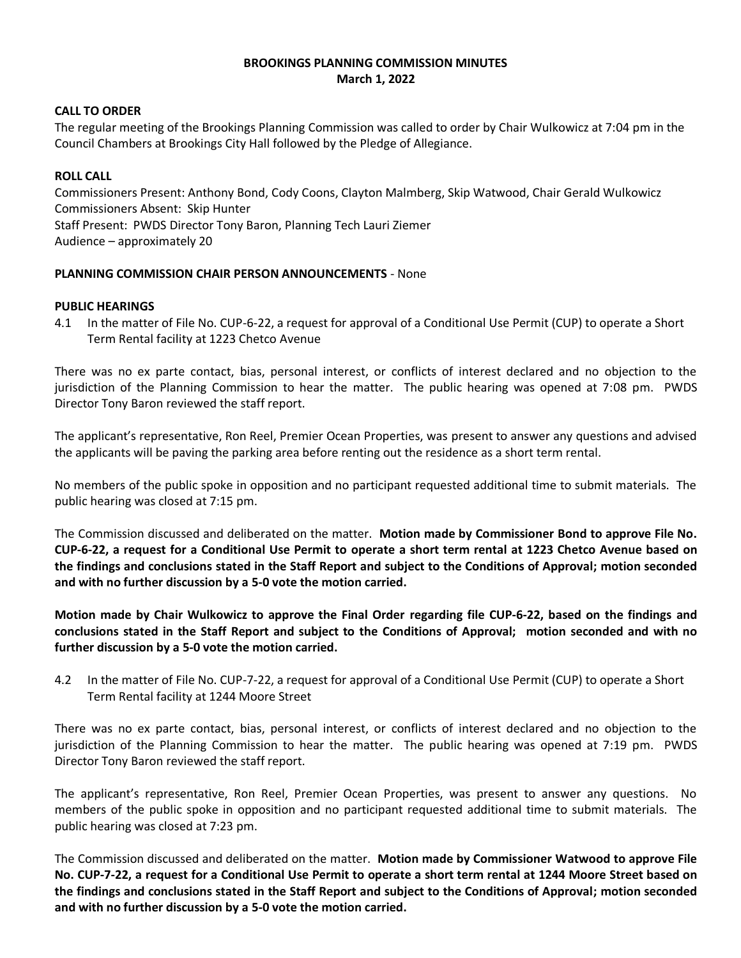# **BROOKINGS PLANNING COMMISSION MINUTES March 1, 2022**

# **CALL TO ORDER**

The regular meeting of the Brookings Planning Commission was called to order by Chair Wulkowicz at 7:04 pm in the Council Chambers at Brookings City Hall followed by the Pledge of Allegiance.

# **ROLL CALL**

Commissioners Present: Anthony Bond, Cody Coons, Clayton Malmberg, Skip Watwood, Chair Gerald Wulkowicz Commissioners Absent: Skip Hunter Staff Present: PWDS Director Tony Baron, Planning Tech Lauri Ziemer Audience – approximately 20

## **PLANNING COMMISSION CHAIR PERSON ANNOUNCEMENTS** - None

## **PUBLIC HEARINGS**

4.1 In the matter of File No. CUP-6-22, a request for approval of a Conditional Use Permit (CUP) to operate a Short Term Rental facility at 1223 Chetco Avenue

There was no ex parte contact, bias, personal interest, or conflicts of interest declared and no objection to the jurisdiction of the Planning Commission to hear the matter. The public hearing was opened at 7:08 pm. PWDS Director Tony Baron reviewed the staff report.

The applicant's representative, Ron Reel, Premier Ocean Properties, was present to answer any questions and advised the applicants will be paving the parking area before renting out the residence as a short term rental.

No members of the public spoke in opposition and no participant requested additional time to submit materials. The public hearing was closed at 7:15 pm.

The Commission discussed and deliberated on the matter. **Motion made by Commissioner Bond to approve File No. CUP-6-22, a request for a Conditional Use Permit to operate a short term rental at 1223 Chetco Avenue based on the findings and conclusions stated in the Staff Report and subject to the Conditions of Approval; motion seconded and with no further discussion by a 5-0 vote the motion carried.**

**Motion made by Chair Wulkowicz to approve the Final Order regarding file CUP-6-22, based on the findings and conclusions stated in the Staff Report and subject to the Conditions of Approval; motion seconded and with no further discussion by a 5-0 vote the motion carried.**

4.2 In the matter of File No. CUP-7-22, a request for approval of a Conditional Use Permit (CUP) to operate a Short Term Rental facility at 1244 Moore Street

There was no ex parte contact, bias, personal interest, or conflicts of interest declared and no objection to the jurisdiction of the Planning Commission to hear the matter. The public hearing was opened at 7:19 pm. PWDS Director Tony Baron reviewed the staff report.

The applicant's representative, Ron Reel, Premier Ocean Properties, was present to answer any questions. No members of the public spoke in opposition and no participant requested additional time to submit materials. The public hearing was closed at 7:23 pm.

The Commission discussed and deliberated on the matter. **Motion made by Commissioner Watwood to approve File No. CUP-7-22, a request for a Conditional Use Permit to operate a short term rental at 1244 Moore Street based on the findings and conclusions stated in the Staff Report and subject to the Conditions of Approval; motion seconded and with no further discussion by a 5-0 vote the motion carried.**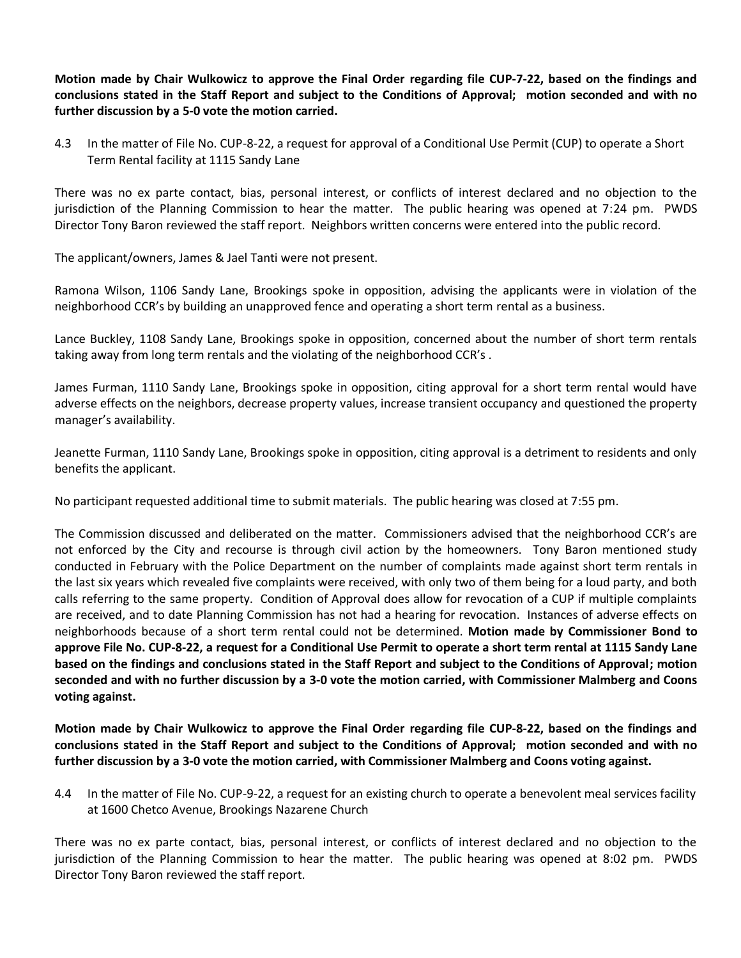**Motion made by Chair Wulkowicz to approve the Final Order regarding file CUP-7-22, based on the findings and conclusions stated in the Staff Report and subject to the Conditions of Approval; motion seconded and with no further discussion by a 5-0 vote the motion carried.**

4.3 In the matter of File No. CUP-8-22, a request for approval of a Conditional Use Permit (CUP) to operate a Short Term Rental facility at 1115 Sandy Lane

There was no ex parte contact, bias, personal interest, or conflicts of interest declared and no objection to the jurisdiction of the Planning Commission to hear the matter. The public hearing was opened at 7:24 pm. PWDS Director Tony Baron reviewed the staff report. Neighbors written concerns were entered into the public record.

The applicant/owners, James & Jael Tanti were not present.

Ramona Wilson, 1106 Sandy Lane, Brookings spoke in opposition, advising the applicants were in violation of the neighborhood CCR's by building an unapproved fence and operating a short term rental as a business.

Lance Buckley, 1108 Sandy Lane, Brookings spoke in opposition, concerned about the number of short term rentals taking away from long term rentals and the violating of the neighborhood CCR's .

James Furman, 1110 Sandy Lane, Brookings spoke in opposition, citing approval for a short term rental would have adverse effects on the neighbors, decrease property values, increase transient occupancy and questioned the property manager's availability.

Jeanette Furman, 1110 Sandy Lane, Brookings spoke in opposition, citing approval is a detriment to residents and only benefits the applicant.

No participant requested additional time to submit materials. The public hearing was closed at 7:55 pm.

The Commission discussed and deliberated on the matter. Commissioners advised that the neighborhood CCR's are not enforced by the City and recourse is through civil action by the homeowners. Tony Baron mentioned study conducted in February with the Police Department on the number of complaints made against short term rentals in the last six years which revealed five complaints were received, with only two of them being for a loud party, and both calls referring to the same property. Condition of Approval does allow for revocation of a CUP if multiple complaints are received, and to date Planning Commission has not had a hearing for revocation. Instances of adverse effects on neighborhoods because of a short term rental could not be determined. **Motion made by Commissioner Bond to approve File No. CUP-8-22, a request for a Conditional Use Permit to operate a short term rental at 1115 Sandy Lane based on the findings and conclusions stated in the Staff Report and subject to the Conditions of Approval; motion seconded and with no further discussion by a 3-0 vote the motion carried, with Commissioner Malmberg and Coons voting against.**

**Motion made by Chair Wulkowicz to approve the Final Order regarding file CUP-8-22, based on the findings and conclusions stated in the Staff Report and subject to the Conditions of Approval; motion seconded and with no further discussion by a 3-0 vote the motion carried, with Commissioner Malmberg and Coons voting against.**

4.4 In the matter of File No. CUP-9-22, a request for an existing church to operate a benevolent meal services facility at 1600 Chetco Avenue, Brookings Nazarene Church

There was no ex parte contact, bias, personal interest, or conflicts of interest declared and no objection to the jurisdiction of the Planning Commission to hear the matter. The public hearing was opened at 8:02 pm. PWDS Director Tony Baron reviewed the staff report.